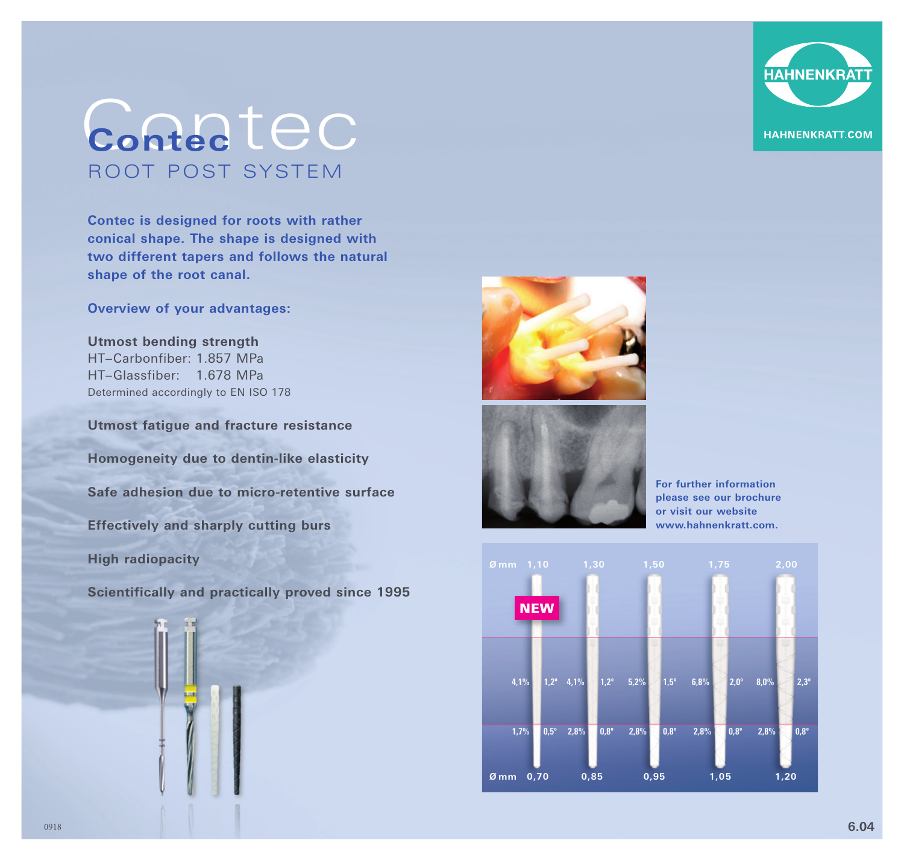

## Contec **Contec** ROOT POST SYSTEM

**Contec is designed for roots with rather conical shape. The shape is designed with two different tapers and follows the natural shape of the root canal.** 

**Overview of your advantages:** 

**Utmost bending strength** HT–Carbonfiber: 1.857 MPa HT–Glassfiber: 1.678 MPa Determined accordingly to EN ISO 178

**Utmost fatigue and fracture resistance Homogeneity due to dentin-like elasticity Safe adhesion due to micro-retentive surface Effectively and sharply cutting burs High radiopacity** 

**Scientifically and practically proved since 1995**







**For further information please see our brochure or visit our website www.hahnenkratt.com.**